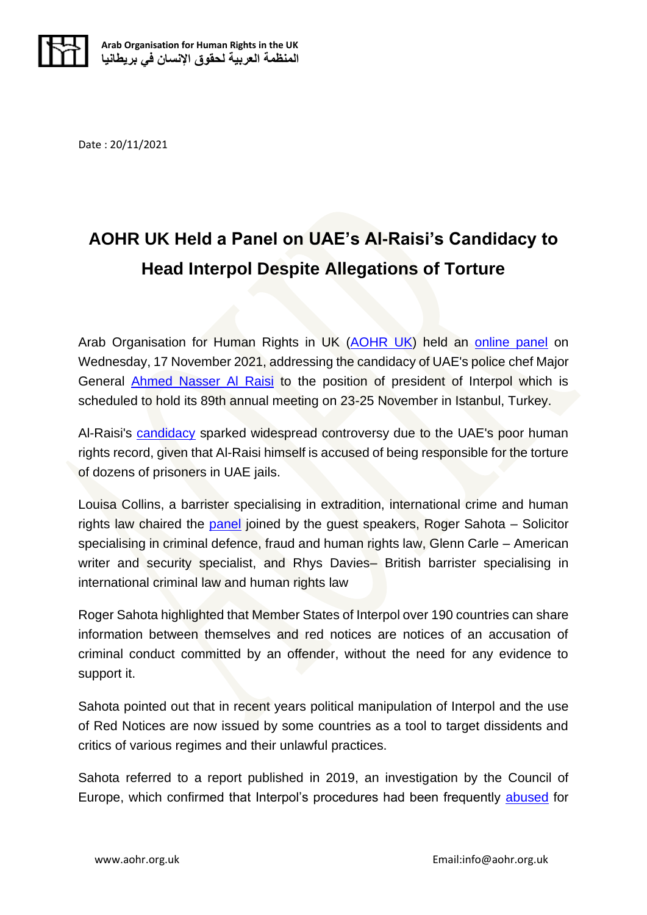

Date : 20/11/2021

## **AOHR UK Held a Panel on UAE's Al-Raisi's Candidacy to Head Interpol Despite Allegations of Torture**

Arab Organisation for Human Rights in UK [\(AOHR UK\)](https://aohr.org.uk/home/) held an [online panel](https://aohr.org.uk/online-panel-event-uae-officials-interpol-candidacy-disregards-torture-victims/) on Wednesday, 17 November 2021, addressing the candidacy of UAE's police chef Major General [Ahmed Nasser Al Raisi](https://aohr.org.uk/meps-slam-uae-police-chiefs-interpol-president-candidacy/) to the position of president of Interpol which is scheduled to hold its 89th annual meeting on 23-25 November in Istanbul, Turkey.

Al-Raisi's [candidacy](https://aohr.org.uk/meps-slam-uae-police-chiefs-interpol-president-candidacy/) sparked widespread controversy due to the UAE's poor human rights record, given that Al-Raisi himself is accused of being responsible for the torture of dozens of prisoners in UAE jails.

Louisa Collins, a barrister specialising in extradition, international crime and human rights law chaired the [panel](https://aohr.org.uk/online-panel-event-uae-officials-interpol-candidacy-disregards-torture-victims/) joined by the guest speakers, Roger Sahota – Solicitor specialising in criminal defence, fraud and human rights law, Glenn Carle – American writer and security specialist, and Rhys Davies– British barrister specialising in international criminal law and human rights law

Roger Sahota highlighted that Member States of Interpol over 190 countries can share information between themselves and red notices are notices of an accusation of criminal conduct committed by an offender, without the need for any evidence to support it.

Sahota pointed out that in recent years political manipulation of Interpol and the use of Red Notices are now issued by some countries as a tool to target dissidents and critics of various regimes and their unlawful practices.

Sahota referred to a report published in 2019, an investigation by the Council of Europe, which confirmed that Interpol's procedures had been frequently [abused](https://aohr.org.uk/former-un-official-mary-robinson-demands-uae-authorities-release-ahmed-mansoor/) for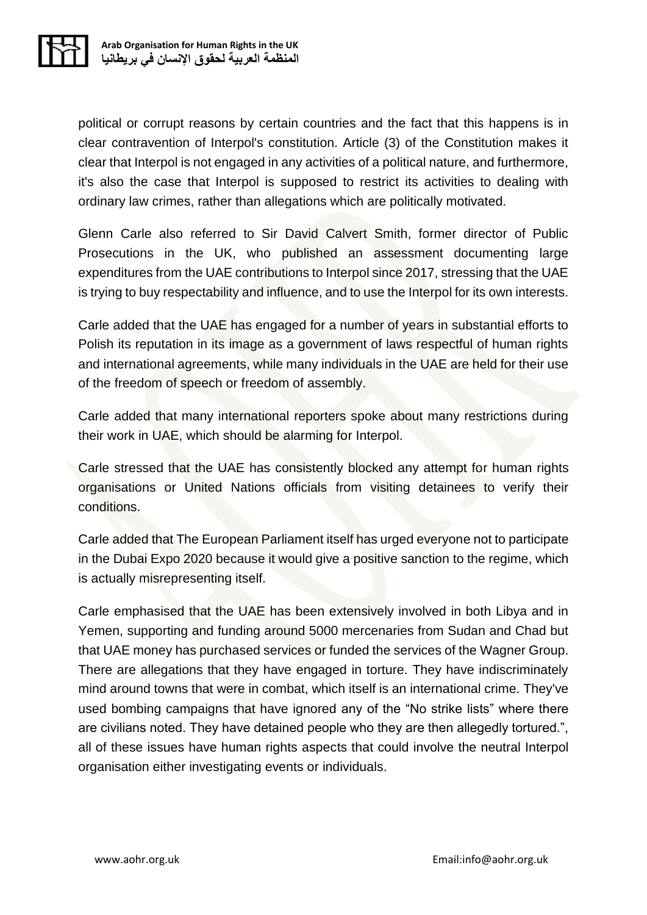

political or corrupt reasons by certain countries and the fact that this happens is in clear contravention of Interpol's constitution. Article (3) of the Constitution makes it clear that Interpol is not engaged in any activities of a political nature, and furthermore, it's also the case that Interpol is supposed to restrict its activities to dealing with ordinary law crimes, rather than allegations which are politically motivated.

Glenn Carle also referred to Sir David Calvert Smith, former director of Public Prosecutions in the UK, who published an assessment documenting large expenditures from the UAE contributions to Interpol since 2017, stressing that the UAE is trying to buy respectability and influence, and to use the Interpol for its own interests.

Carle added that the UAE has engaged for a number of years in substantial efforts to Polish its reputation in its image as a government of laws respectful of human rights and international agreements, while many individuals in the UAE are held for their use of the freedom of speech or freedom of assembly.

Carle added that many international reporters spoke about many restrictions during their work in UAE, which should be alarming for Interpol.

Carle stressed that the UAE has consistently blocked any attempt for human rights organisations or United Nations officials from visiting detainees to verify their conditions.

Carle added that The European Parliament itself has urged everyone not to participate in the Dubai Expo 2020 because it would give a positive sanction to the regime, which is actually misrepresenting itself.

Carle emphasised that the UAE has been extensively involved in both Libya and in Yemen, supporting and funding around 5000 mercenaries from Sudan and Chad but that UAE money has purchased services or funded the services of the Wagner Group. There are allegations that they have engaged in torture. They have indiscriminately mind around towns that were in combat, which itself is an international crime. They've used bombing campaigns that have ignored any of the "No strike lists" where there are civilians noted. They have detained people who they are then allegedly tortured.", all of these issues have human rights aspects that could involve the neutral Interpol organisation either investigating events or individuals.